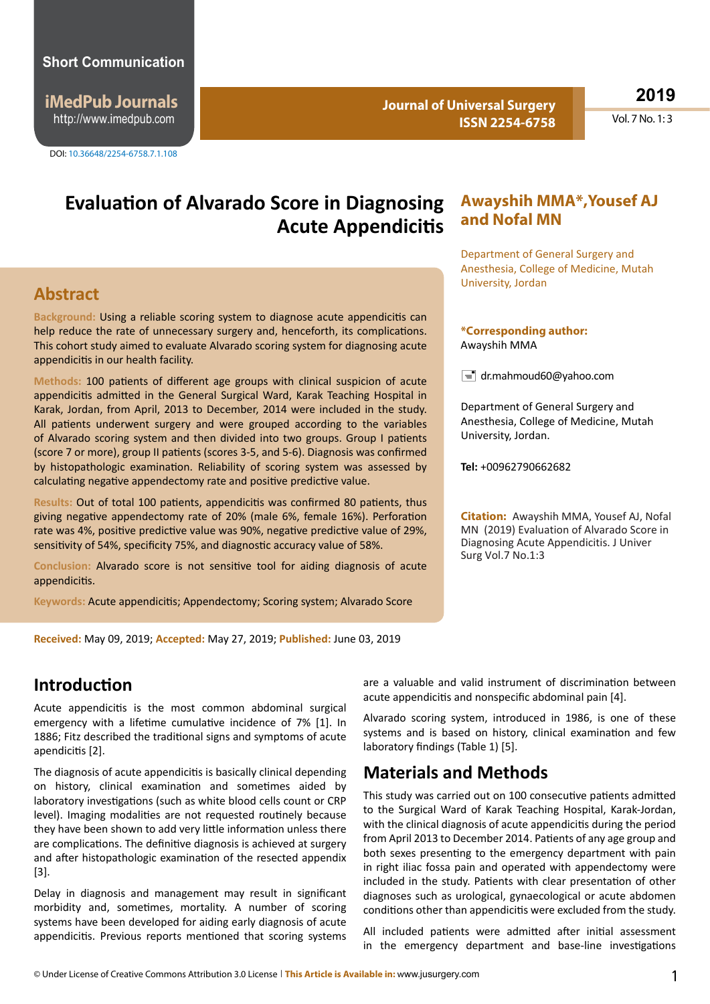#### **Short Communication**

**iMedPub Journals** http://www.imedpub.com

DOI: 10.36648/2254-6758.7.1.108

**Journal of Universal Surgery ISSN 2254-6758** **2019**

Vol.  $7$  No.  $1:3$ 

## **Evaluation of Alvarado Score in Diagnosing Acute Appendicitis**

#### **Abstract**

**Background:** Using a reliable scoring system to diagnose acute appendicitis can help reduce the rate of unnecessary surgery and, henceforth, its complications. This cohort study aimed to evaluate Alvarado scoring system for diagnosing acute appendicitis in our health facility.

**Methods:** 100 patients of different age groups with clinical suspicion of acute appendicitis admitted in the General Surgical Ward, Karak Teaching Hospital in Karak, Jordan, from April, 2013 to December, 2014 were included in the study. All patients underwent surgery and were grouped according to the variables of Alvarado scoring system and then divided into two groups. Group I patients (score 7 or more), group II patients (scores 3-5, and 5-6). Diagnosis was confirmed by histopathologic examination. Reliability of scoring system was assessed by calculating negative appendectomy rate and positive predictive value.

**Results:** Out of total 100 patients, appendicitis was confirmed 80 patients, thus giving negative appendectomy rate of 20% (male 6%, female 16%). Perforation rate was 4%, positive predictive value was 90%, negative predictive value of 29%, sensitivity of 54%, specificity 75%, and diagnostic accuracy value of 58%.

**Conclusion:** Alvarado score is not sensitive tool for aiding diagnosis of acute appendicitis.

**Keywords:** Acute appendicitis; Appendectomy; Scoring system; Alvarado Score

**Received:** May 09, 2019; **Accepted:** May 27, 2019; **Published:** June 03, 2019

#### **Introduction**

Acute appendicitis is the most common abdominal surgical emergency with a lifetime cumulative incidence of 7% [1]. In 1886; Fitz described the traditional signs and symptoms of acute apendicitis [2].

The diagnosis of acute appendicitis is basically clinical depending on history, clinical examination and sometimes aided by laboratory investigations (such as white blood cells count or CRP level). Imaging modalities are not requested routinely because they have been shown to add very little information unless there are complications. The definitive diagnosis is achieved at surgery and after histopathologic examination of the resected appendix [3].

Delay in diagnosis and management may result in significant morbidity and, sometimes, mortality. A number of scoring systems have been developed for aiding early diagnosis of acute appendicitis. Previous reports mentioned that scoring systems

# **Awayshih MMA\*,Yousef AJ and Nofal MN**

Department of General Surgery and Anesthesia, College of Medicine, Mutah University, Jordan

#### **\*Corresponding author:** Awayshih MMA

 $\equiv$  dr.mahmoud60@yahoo.com

Department of General Surgery and Anesthesia, College of Medicine, Mutah University, Jordan.

**Tel:** +00962790662682

**Citation:** Awayshih MMA, Yousef AJ, Nofal MN (2019) Evaluation of Alvarado Score in Diagnosing Acute Appendicitis. J Univer Surg Vol.7 No.1:3

are a valuable and valid instrument of discrimination between acute appendicitis and nonspecific abdominal pain [4].

Alvarado scoring system, introduced in 1986, is one of these systems and is based on history, clinical examination and few laboratory findings (Table 1) [5].

### **Materials and Methods**

This study was carried out on 100 consecutive patients admitted to the Surgical Ward of Karak Teaching Hospital, Karak-Jordan, with the clinical diagnosis of acute appendicitis during the period from April 2013 to December 2014. Patients of any age group and both sexes presenting to the emergency department with pain in right iliac fossa pain and operated with appendectomy were included in the study. Patients with clear presentation of other diagnoses such as urological, gynaecological or acute abdomen conditions other than appendicitis were excluded from the study.

All included patients were admitted after initial assessment in the emergency department and base-line investigations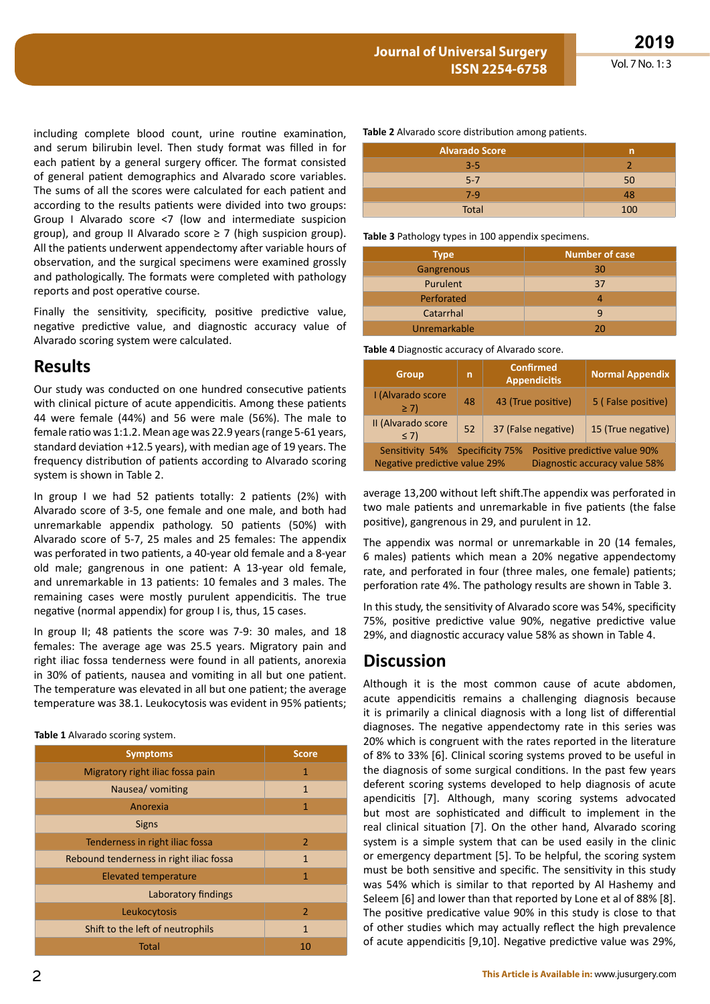including complete blood count, urine routine examination, and serum bilirubin level. Then study format was filled in for each patient by a general surgery officer. The format consisted of general patient demographics and Alvarado score variables. The sums of all the scores were calculated for each patient and according to the results patients were divided into two groups: Group I Alvarado score <7 (low and intermediate suspicion group), and group II Alvarado score  $\geq$  7 (high suspicion group). All the patients underwent appendectomy after variable hours of observation, and the surgical specimens were examined grossly and pathologically. The formats were completed with pathology reports and post operative course.

Finally the sensitivity, specificity, positive predictive value, negative predictive value, and diagnostic accuracy value of Alvarado scoring system were calculated.

### **Results**

Our study was conducted on one hundred consecutive patients with clinical picture of acute appendicitis. Among these patients 44 were female (44%) and 56 were male (56%). The male to female ratio was 1:1.2. Mean age was 22.9 years (range 5-61 years, standard deviation +12.5 years), with median age of 19 years. The frequency distribution of patients according to Alvarado scoring system is shown in Table 2.

In group I we had 52 patients totally: 2 patients (2%) with Alvarado score of 3-5, one female and one male, and both had unremarkable appendix pathology. 50 patients (50%) with Alvarado score of 5-7, 25 males and 25 females: The appendix was perforated in two patients, a 40-year old female and a 8-year old male; gangrenous in one patient: A 13-year old female, and unremarkable in 13 patients: 10 females and 3 males. The remaining cases were mostly purulent appendicitis. The true negative (normal appendix) for group I is, thus, 15 cases.

In group II; 48 patients the score was 7-9: 30 males, and 18 females: The average age was 25.5 years. Migratory pain and right iliac fossa tenderness were found in all patients, anorexia in 30% of patients, nausea and vomiting in all but one patient. The temperature was elevated in all but one patient; the average temperature was 38.1. Leukocytosis was evident in 95% patients;

#### **Table 1** Alvarado scoring system.

| <b>Symptoms</b>                         | <b>Score</b>   |  |
|-----------------------------------------|----------------|--|
| Migratory right iliac fossa pain        | 1              |  |
| Nausea/vomiting                         | $\mathbf{1}$   |  |
| Anorexia                                | 1              |  |
| <b>Signs</b>                            |                |  |
| Tenderness in right iliac fossa         | 2              |  |
| Rebound tenderness in right iliac fossa | $\mathbf{1}$   |  |
| <b>Elevated temperature</b>             | 1              |  |
| Laboratory findings                     |                |  |
| Leukocytosis                            | $\overline{2}$ |  |
| Shift to the left of neutrophils        | 1              |  |
| Total                                   | 10             |  |

**Table 2** Alvarado score distribution among patients.

| <b>Alvarado Score</b> | n   |
|-----------------------|-----|
| $3 - 5$               |     |
| $5 - 7$               | 50  |
| $7-9$                 | 48  |
| <b>Total</b>          | 100 |

**Table 3** Pathology types in 100 appendix specimens.

| <b>Type</b>     | <b>Number of case</b> |
|-----------------|-----------------------|
| Gangrenous      | 30                    |
| <b>Purulent</b> | 37                    |
| Perforated      |                       |
| Catarrhal       | q                     |
| Unremarkable    | 20                    |

**Table 4** Diagnostic accuracy of Alvarado score.

| <b>Group</b>                                                                                                                       | n  | <b>Confirmed</b><br><b>Appendicitis</b> | <b>Normal Appendix</b> |
|------------------------------------------------------------------------------------------------------------------------------------|----|-----------------------------------------|------------------------|
| I (Alvarado score<br>$\geq$ 7)                                                                                                     | 48 | 43 (True positive)                      | 5 (False positive)     |
| II (Alvarado score<br>$\leq 7$                                                                                                     | 52 | 37 (False negative)                     | 15 (True negative)     |
| Sensitivity 54% Specificity 75%<br>Positive predictive value 90%<br>Negative predictive value 29%<br>Diagnostic accuracy value 58% |    |                                         |                        |

average 13,200 without left shift.The appendix was perforated in two male patients and unremarkable in five patients (the false positive), gangrenous in 29, and purulent in 12.

The appendix was normal or unremarkable in 20 (14 females, 6 males) patients which mean a 20% negative appendectomy rate, and perforated in four (three males, one female) patients; perforation rate 4%. The pathology results are shown in Table 3.

In this study, the sensitivity of Alvarado score was 54%, specificity 75%, positive predictive value 90%, negative predictive value 29%, and diagnostic accuracy value 58% as shown in Table 4.

#### **Discussion**

Although it is the most common cause of acute abdomen, acute appendicitis remains a challenging diagnosis because it is primarily a clinical diagnosis with a long list of differential diagnoses. The negative appendectomy rate in this series was 20% which is congruent with the rates reported in the literature of 8% to 33% [6]. Clinical scoring systems proved to be useful in the diagnosis of some surgical conditions. In the past few years deferent scoring systems developed to help diagnosis of acute apendicitis [7]. Although, many scoring systems advocated but most are sophisticated and difficult to implement in the real clinical situation [7]. On the other hand, Alvarado scoring system is a simple system that can be used easily in the clinic or emergency department [5]. To be helpful, the scoring system must be both sensitive and specific. The sensitivity in this study was 54% which is similar to that reported by Al Hashemy and Seleem [6] and lower than that reported by Lone et al of 88% [8]. The positive predicative value 90% in this study is close to that of other studies which may actually reflect the high prevalence of acute appendicitis [9,10]. Negative predictive value was 29%,